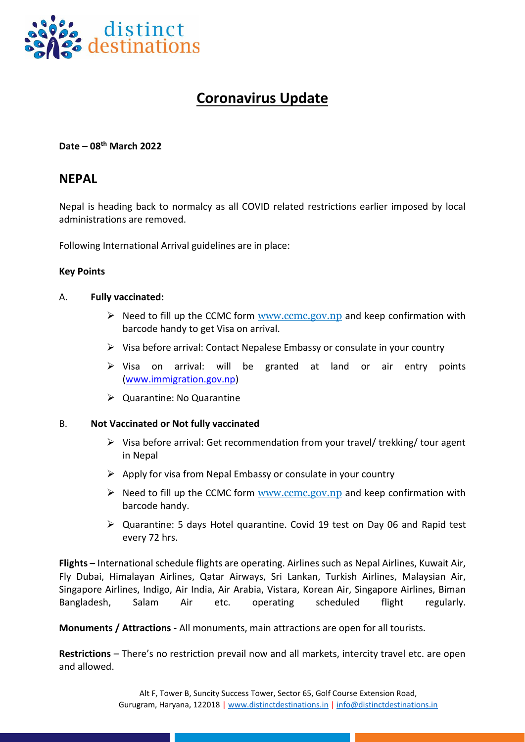

# **Coronavirus Update**

**Date – 08 th March 2022**

## **NEPAL**

Nepal is heading back to normalcy as all COVID related restrictions earlier imposed by local administrations are removed.

Following International Arrival guidelines are in place:

#### **Key Points**

#### A. **Fully vaccinated:**

- $\triangleright$  Need to fill up the CCMC form [www.ccmc.gov.np](http://www.ccmc.gov.np/) and keep confirmation with barcode handy to get Visa on arrival.
- ➢ Visa before arrival: Contact Nepalese Embassy or consulate in your country
- ➢ Visa on arrival: will be granted at land or air entry points [\(www.immigration.gov.np\)](http://www.immigration.gov.np/)
- ➢ Quarantine: No Quarantine

#### B. **Not Vaccinated or Not fully vaccinated**

- $\triangleright$  Visa before arrival: Get recommendation from your travel/ trekking/ tour agent in Nepal
- $\triangleright$  Apply for visa from Nepal Embassy or consulate in your country
- $\triangleright$  Need to fill up the CCMC form [www.ccmc.gov.np](http://www.ccmc.gov.np/) and keep confirmation with barcode handy.
- ➢ Quarantine: 5 days Hotel quarantine. Covid 19 test on Day 06 and Rapid test every 72 hrs.

**Flights –** International schedule flights are operating. Airlines such as Nepal Airlines, Kuwait Air, Fly Dubai, Himalayan Airlines, Qatar Airways, Sri Lankan, Turkish Airlines, Malaysian Air, Singapore Airlines, Indigo, Air India, Air Arabia, Vistara, Korean Air, Singapore Airlines, Biman Bangladesh, Salam Air etc. operating scheduled flight regularly.

**Monuments / Attractions** - All monuments, main attractions are open for all tourists.

**Restrictions** – There's no restriction prevail now and all markets, intercity travel etc. are open and allowed.